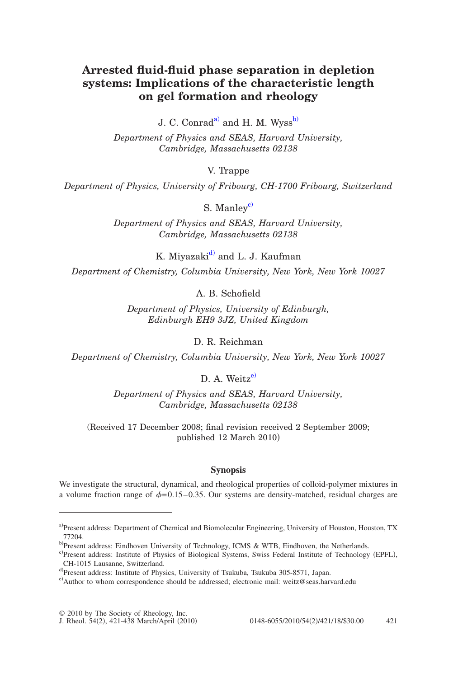# **Arrested fluid-fluid phase separation in depletion systems: Implications of the characteristic length on gel formation and rheology**

J. C. Conrad<sup>a)</sup> and H. M. Wyss<sup>b)</sup>

*Department of Physics and SEAS, Harvard University, Cambridge, Massachusetts 02138*

V. Trappe

*Department of Physics, University of Fribourg, CH-1700 Fribourg, Switzerland*

S. Manley<sup>c)</sup>

*Department of Physics and SEAS, Harvard University, Cambridge, Massachusetts 02138*

K. Miyazaki<sup>d)</sup> and L. J. Kaufman

*Department of Chemistry, Columbia University, New York, New York 10027*

A. B. Schofield

*Department of Physics, University of Edinburgh, Edinburgh EH9 3JZ, United Kingdom*

D. R. Reichman

*Department of Chemistry, Columbia University, New York, New York 10027*

D. A. Weitz<sup>e)</sup>

*Department of Physics and SEAS, Harvard University, Cambridge, Massachusetts 02138*

(Received 17 December 2008; final revision received 2 September 2009; published 12 March 2010

# **Synopsis**

<span id="page-0-3"></span><span id="page-0-2"></span><span id="page-0-1"></span><span id="page-0-0"></span>We investigate the structural, dynamical, and rheological properties of colloid-polymer mixtures in a volume fraction range of  $\phi$  = 0.15–0.35. Our systems are density-matched, residual charges are

<span id="page-0-4"></span>a)Present address: Department of Chemical and Biomolecular Engineering, University of Houston, Houston, TX 77204.

b)Present address: Eindhoven University of Technology, ICMS & WTB, Eindhoven, the Netherlands.

c)Present address: Institute of Physics of Biological Systems, Swiss Federal Institute of Technology (EPFL), CH-1015 Lausanne, Switzerland.

d Present address: Institute of Physics, University of Tsukuba, Tsukuba 305-8571, Japan.

e) Author to whom correspondence should be addressed; electronic mail: weitz@seas.harvard.edu

<sup>© 2010</sup> by The Society of Rheology, Inc.

J. Rheol. 54(2), 421-438 March/April (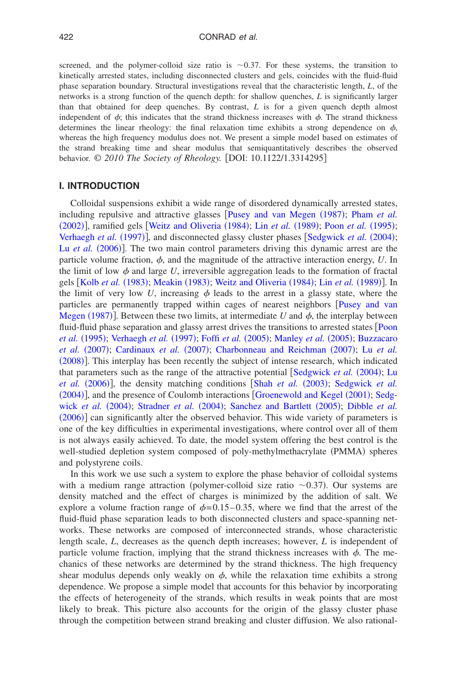screened, and the polymer-colloid size ratio is  $\sim 0.37$ . For these systems, the transition to kinetically arrested states, including disconnected clusters and gels, coincides with the fluid-fluid phase separation boundary. Structural investigations reveal that the characteristic length, *L*, of the networks is a strong function of the quench depth: for shallow quenches, *L* is significantly larger than that obtained for deep quenches. By contrast, *L* is for a given quench depth almost independent of  $\phi$ ; this indicates that the strand thickness increases with  $\phi$ . The strand thickness determines the linear rheology: the final relaxation time exhibits a strong dependence on  $\phi$ , whereas the high frequency modulus does not. We present a simple model based on estimates of the strand breaking time and shear modulus that semiquantitatively describes the observed behavior. © 2010 The Society of Rheology. [DOI: 10.1122/1.3314295]

# **I. INTRODUCTION**

Colloidal suspensions exhibit a wide ran[ge of disordered dynamically a](#page-16-0)r[rested states,](#page-16-1) [includi](#page-16-1)ng repulsive and attractive glasses [Pusey [and van Megen](#page-16-2) (1987); [Pham](#page-16-3) et al. (2002)][, ramified gels](#page-17-1) [[Weitz](#page-17-0) [and](#page-17-0) [Oliveria](#page-17-0) (1984); Lin et al. (1989); Poon et al. (1995); [Verhaegh](#page-16-5) et al. (1997)], and disconnected glassy cluster phases [[Sedgwick](#page-16-4) et al. (2004); Lu et al. (2006)]. The two main control parameters driving this dynamic arrest are the particle volume fraction,  $\phi$ , and the magnitude of the attractive interaction energy, *U*. In the li[mit of low](#page-16-6)  $\phi$  and large U[, irrevers](#page-16-7)i[ble aggregation leads to th](#page-17-0)[e formation of fra](#page-16-2)ctal gels [Kolb *et al.* (1983); Meakin (1983); Weitz and Oliveria (1984); Lin *et al.* (1989)]. In the limit of very low *U*, increasing  $\phi$  leads to the arrest in a glassy state, where the [particles are p](#page-16-0)ermanently trapped within cages of nearest neighbors [Pusey](#page-16-0) [and](#page-16-0) [van](#page-16-0) Megen  $(1987)$ ]. Between these two limits, at intermediate *U* and  $\phi$ , the interplay between [fluid-fluid ph](#page-16-3)[ase separation and glass](#page-17-1)[y arrest drives the t](#page-15-0)[ransitions to arrested s](#page-16-8)tates [Poon](#page-16-3) et al. (1995); Verhaegh et al. (1997); Foffi et al. (2005); Manley et al. (2005); [Buzzacaro](#page-15-1) *[et](#page-15-1) [al.](#page-15-1)* (2007); [Cardinaux](#page-15-2) *et al.* (2007); [Charbonneau](#page-15-3) [and](#page-15-3) [Reichman](#page-15-3) (2007); Lu *et al.* ([2008](#page-16-9))]. This interplay has been recently the subject of inten[se research, which indica](#page-16-4)ted [that parameter](#page-16-5)s such as the range of the attractive potential [[Sedgwick](#page-16-10) et al. (2004); [Lu](#page-16-5) et al. (2006)], the density matching conditions [Shah et al. (2003); [Sedgwick](#page-16-4) et al. ([2004](#page-16-4))][, and the pre](#page-16-4)[sence of Coulomb intera](#page-17-2)ctions [[Groenewold](#page-16-11) [and](#page-16-11) [Kegel](#page-16-11) (2001); [Sedg-](#page-16-4)wick et al. (2004); Stradner et al. (2004); [Sanchez](#page-16-12) [and](#page-16-12) [Bartlett](#page-16-12) (2005); [Dibble](#page-15-4) et al. ([2006](#page-15-4))] can significantly alter the observed behavior. This wide variety of parameters is one of the key difficulties in experimental investigations, where control over all of them is not always easily achieved. To date, the model system offering the best control is the well-studied depletion system composed of poly-methylmethacrylate (PMMA) spheres and polystyrene coils.

In this work we use such a system to explore the phase behavior of colloidal systems with a medium range attraction (polymer-colloid size ratio  $\sim$ 0.37). Our systems are density matched and the effect of charges is minimized by the addition of salt. We explore a volume fraction range of  $\phi$  = 0.15–0.35, where we find that the arrest of the fluid-fluid phase separation leads to both disconnected clusters and space-spanning networks. These networks are composed of interconnected strands, whose characteristic length scale, *L*, decreases as the quench depth increases; however, *L* is independent of particle volume fraction, implying that the strand thickness increases with  $\phi$ . The mechanics of these networks are determined by the strand thickness. The high frequency shear modulus depends only weakly on  $\phi$ , while the relaxation time exhibits a strong dependence. We propose a simple model that accounts for this behavior by incorporating the effects of heterogeneity of the strands, which results in weak points that are most likely to break. This picture also accounts for the origin of the glassy cluster phase through the competition between strand breaking and cluster diffusion. We also rational-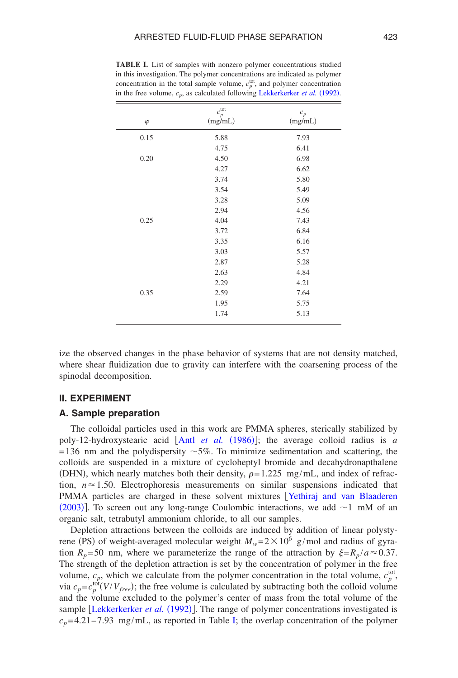| $\varphi$ | $c_p^{\rm tot}$<br>(mg/mL) | $\boldsymbol{c}_p$<br>(mg/mL) |
|-----------|----------------------------|-------------------------------|
| 0.15      | 5.88                       | 7.93                          |
|           | 4.75                       | 6.41                          |
| 0.20      | 4.50                       | 6.98                          |
|           | 4.27                       | 6.62                          |
|           | 3.74                       | 5.80                          |
|           | 3.54                       | 5.49                          |
|           | 3.28                       | 5.09                          |
|           | 2.94                       | 4.56                          |
| 0.25      | 4.04                       | 7.43                          |
|           | 3.72                       | 6.84                          |
|           | 3.35                       | 6.16                          |
|           | 3.03                       | 5.57                          |
|           | 2.87                       | 5.28                          |
|           | 2.63                       | 4.84                          |
|           | 2.29                       | 4.21                          |
| 0.35      | 2.59                       | 7.64                          |
|           | 1.95                       | 5.75                          |
|           | 1.74                       | 5.13                          |

<span id="page-2-0"></span>**TABLE I.** List of samples with nonzero polymer concentrations studied in this investigation. The polymer concentrations are indicated as polymer concentration in the total sample volume,  $c_p^{\text{tot}}$ , [and polymer concentration](#page-16-13) in the free volume,  $c_p$ , as calculated following Lekkerkerker *et al.* (1992).

ize the observed changes in the phase behavior of systems that are not density matched, where shear fluidization due to gravity can interfere with the coarsening process of the spinodal decomposition.

### **II. EXPERIMENT**

#### **A. Sample preparation**

The colloidal particles use[d in this work are PM](#page-15-5)MA spheres, sterically stabilized by poly-12-hydroxystearic acid [Antl *et al.* (1986)]; the average colloid radius is *a*  $=136$  nm and the polydispersity  $\sim 5\%$ . To minimize sedimentation and scattering, the colloids are suspended in a mixture of cycloheptyl bromide and decahydronapthalene (DHN), which nearly matches both their density,  $\rho = 1.225$  mg/mL, and index of refraction,  $n \approx 1.50$ . Electrophoresis measurements on similar suspensions indicated that [PMMA](#page-17-3) particles are charged in these solvent mixtures [[Yethiraj](#page-17-3) [and](#page-17-3) [van](#page-17-3) [Blaaderen](#page-17-3) (2003)]. To screen out any long-range Coulombic interactions, we add  $\sim$ 1 mM of an organic salt, tetrabutyl ammonium chloride, to all our samples.

Depletion attractions between the colloids are induced by addition of linear polystyrene (PS) of weight-averaged molecular weight  $M_w = 2 \times 10^6$  g/mol and radius of gyration  $R_p = 50$  nm, where we parameterize the range of the attraction by  $\xi = R_p / a \approx 0.37$ . The strength of the depletion attraction is set by the concentration of polymer in the free volume,  $c_p$ , which we calculate from the polymer concentration in the total volume,  $c_p^{\text{tot}}$ , via  $c_p = c_p^{\text{tot}}(V/V_{free})$ ; the free volume is calculated by subtracting both the colloid volume and the [volume excluded to the po](#page-16-13)lymer's center of mass from the total volume of the sample [Lekkerkerker et al. (1992)]. The ran[ge](#page-2-0) of polymer concentrations investigated is  $c_p$ =4.21–7.93 mg/mL, as reported in Table I; the overlap concentration of the polymer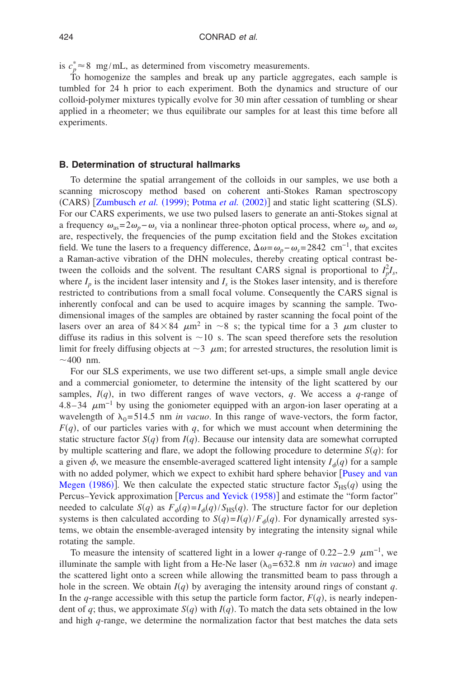is  $c_p^* \approx 8$  mg/mL, as determined from viscometry measurements.

To homogenize the samples and break up any particle aggregates, each sample is tumbled for 24 h prior to each experiment. Both the dynamics and structure of our colloid-polymer mixtures typically evolve for 30 min after cessation of tumbling or shear applied in a rheometer; we thus equilibrate our samples for at least this time before all experiments.

### **B. Determination of structural hallmarks**

To determine the spatial arrangement of the colloids in our samples, we use both a scanning [microscopy method b](#page-17-4)[ased on coherent a](#page-16-14)nti-Stokes Raman spectroscopy (CARS) [Zumbusch et al. (1999); Potma et al. (2002)] and static light scattering (SLS). For our CARS experiments, we use two pulsed lasers to generate an anti-Stokes signal at a frequency  $\omega_{as}=2\omega_p-\omega_s$  via a nonlinear three-photon optical process, where  $\omega_p$  and  $\omega_s$ are, respectively, the frequencies of the pump excitation field and the Stokes excitation field. We tune the lasers to a frequency difference,  $\Delta \omega = \omega_p - \omega_s = 2842 \text{ cm}^{-1}$ , that excites a Raman-active vibration of the DHN molecules, thereby creating optical contrast between the colloids and the solvent. The resultant CARS signal is proportional to  $I_p^2 I_s$ , where  $I_p$  is the incident laser intensity and  $I_s$  is the Stokes laser intensity, and is therefore restricted to contributions from a small focal volume. Consequently the CARS signal is inherently confocal and can be used to acquire images by scanning the sample. Twodimensional images of the samples are obtained by raster scanning the focal point of the lasers over an area of  $84\times84$   $\mu$ m<sup>2</sup> in ~8 s; the typical time for a 3  $\mu$ m cluster to diffuse its radius in this solvent is  $\sim$ 10 s. The scan speed therefore sets the resolution limit for freely diffusing objects at  $\sim$ 3  $\mu$ m; for arrested structures, the resolution limit is  $\sim$ 400 nm.

For our SLS experiments, we use two different set-ups, a simple small angle device and a commercial goniometer, to determine the intensity of the light scattered by our samples,  $I(q)$ , in two different ranges of wave vectors,  $q$ . We access a  $q$ -range of 4.8–34  $\mu$ m<sup>-1</sup> by using the goniometer equipped with an argon-ion laser operating at a wavelength of  $\lambda_0 = 514.5$  nm *in vacuo*. In this range of wave-vectors, the form factor,  $F(q)$ , of our particles varies with  $q$ , for which we must account when determining the static structure factor  $S(q)$  from  $I(q)$ . Because our intensity data are somewhat corrupted by multiple scattering and flare, we adopt the following procedure to determine  $S(q)$ : for a given  $\phi$ , we measure the ensemble-averaged scattered light intensity  $I_{\phi}(q)$  for a sample [with no added](#page-16-15) polymer, which we expect to exhibit hard sphere behavior [[Pusey](#page-16-15) [and](#page-16-15) [van](#page-16-15) Megen (1986)]. We then calc[ulate the expected static st](#page-16-16)ructure factor  $S_{\text{HS}}(q)$  using the Percus–Yevick approximation [Percus and Yevick (1958)] and estimate the "form factor" needed to calculate  $S(q)$  as  $F_{\phi}(q) = I_{\phi}(q) / S_{HS}(q)$ . The structure factor for our depletion systems is then calculated according to  $S(q) = I(q)/F_{\phi}(q)$ . For dynamically arrested systems, we obtain the ensemble-averaged intensity by integrating the intensity signal while rotating the sample.

To measure the intensity of scattered light in a lower *q*-range of 0.22–2.9  $\mu$ m<sup>-1</sup>, we illuminate the sample with light from a He-Ne laser  $(\lambda_0 = 632.8 \text{ nm } \text{in } vacuo)$  and image the scattered light onto a screen while allowing the transmitted beam to pass through a hole in the screen. We obtain  $I(q)$  by averaging the intensity around rings of constant  $q$ . In the *q*-range accessible with this setup the particle form factor,  $F(q)$ , is nearly independent of q; thus, we approximate  $S(q)$  with  $I(q)$ . To match the data sets obtained in the low and high *q*-range, we determine the normalization factor that best matches the data sets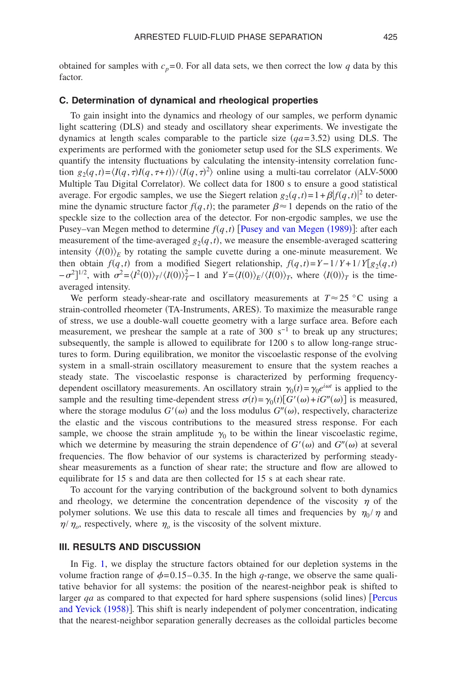obtained for samples with  $c_p=0$ . For all data sets, we then correct the low *q* data by this factor.

# **C. Determination of dynamical and rheological properties**

To gain insight into the dynamics and rheology of our samples, we perform dynamic light scattering (DLS) and steady and oscillatory shear experiments. We investigate the dynamics at length scales comparable to the particle size  $(qa=3.52)$  using DLS. The experiments are performed with the goniometer setup used for the SLS experiments. We quantify the intensity fluctuations by calculating the intensity-intensity correlation function  $g_2(q,t) = \langle I(q,\tau)I(q,\tau+t) \rangle / \langle I(q,\tau)^2 \rangle$  online using a multi-tau correlator (ALV-5000 Multiple Tau Digital Correlator). We collect data for 1800 s to ensure a good statistical average. For ergodic samples, we use the Siegert relation  $g_2(q,t) = 1 + \beta |f(q,t)|^2$  to determine the dynamic structure factor  $f(q, t)$ ; the parameter  $\beta \approx 1$  depends on the ratio of the speckle size to the collection area of the dete[ctor. For non-ergodic samples,](#page-16-17) we use the Pusey–van Megen method to determine  $f(q, t)$  [Pusey and van Megen (1989)]: after each measurement of the time-averaged  $g_2(q,t)$ , we measure the ensemble-averaged scattering intensity  $\langle I(0) \rangle_E$  by rotating the sample cuvette during a one-minute measurement. We then obtain  $f(q,t)$  from a modified Siegert relationship,  $f(q,t)=Y-1/Y+1/Y[g_2(q,t)$  $(-\sigma^2)^{1/2}$ , with  $\sigma^2 = \langle I^2(0) \rangle_T / \langle I(0) \rangle_T^2 - 1$  and  $Y = \langle I(0) \rangle_E / \langle I(0) \rangle_T$ , where  $\langle I(0) \rangle_T$  is the timeaveraged intensity.

We perform steady-shear-rate and oscillatory measurements at  $T \approx 25 \degree C$  using a strain-controlled rheometer (TA-Instruments, ARES). To maximize the measurable range of stress, we use a double-wall couette geometry with a large surface area. Before each measurement, we preshear the sample at a rate of 300 s<sup>-1</sup> to break up any structures; subsequently, the sample is allowed to equilibrate for 1200 s to allow long-range structures to form. During equilibration, we monitor the viscoelastic response of the evolving system in a small-strain oscillatory measurement to ensure that the system reaches a steady state. The viscoelastic response is characterized by performing frequencydependent oscillatory measurements. An oscillatory strain  $\gamma_0(t) = \gamma_0 e^{i\omega t}$  is applied to the sample and the resulting time-dependent stress  $\sigma(t) = \gamma_0(t)[G'(\omega) + iG''(\omega)]$  is measured, where the storage modulus  $G'(\omega)$  and the loss modulus  $G''(\omega)$ , respectively, characterize the elastic and the viscous contributions to the measured stress response. For each sample, we choose the strain amplitude  $\gamma_0$  to be within the linear viscoelastic regime, which we determine by measuring the strain dependence of  $G'(\omega)$  and  $G''(\omega)$  at several frequencies. The flow behavior of our systems is characterized by performing steadyshear measurements as a function of shear rate; the structure and flow are allowed to equilibrate for 15 s and data are then collected for 15 s at each shear rate.

To account for the varying contribution of the background solvent to both dynamics and rheology, we determine the concentration dependence of the viscosity  $\eta$  of the polymer solutions. We use this data to rescale all times and frequencies by  $\eta_0 / \eta$  and  $\eta/\eta_o$ , respectively, where  $\eta_o$  is the viscosity of the solvent mixture.

#### **III. RESULTS AND DISCUSSION**

In Fig. [1,](#page-5-0) we display the structure factors obtained for our depletion systems in the volume fraction range of  $\phi$ =0.15–0.35. In the high *q*-range, we observe the same qualitative behavior for all systems: the position of the nearest-neighbor peak is sh[ifted to](#page-16-16) larger qa as compared to that expected for hard sphere suspensions (solid lines) [Percus [and](#page-16-16) [Yevick](#page-16-16) (1958)]. This shift is nearly independent of polymer concentration, indicating that the nearest-neighbor separation generally decreases as the colloidal particles become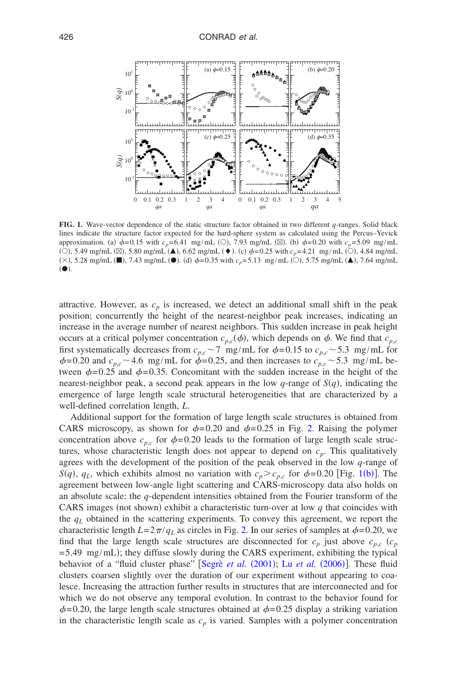<span id="page-5-0"></span>

**FIG. 1.** Wave-vector dependence of the static structure factor obtained in two different *q*-ranges. Solid black lines indicate the structure factor expected for the hard-sphere system as calculated using the Percus–Yevick approximation. (a)  $\phi$ =0.15 with  $c_p$ =6.41 mg/mL (○), 7.93 mg/mL (⊠). (b)  $\phi$ =0.20 with  $c_p$ =5.09 mg/mL (O), 5.49 mg/mL ( $\boxtimes$ ), 5.80 mg/mL ( $\blacktriangle$ ), 6.62 mg/mL ( $\blacklozenge$ ). (c)  $\phi$ =0.25 with  $c_p$ =4.21 mg/mL (O), 4.84 mg/mL  $(\times)$ , 5.28 mg/mL ( $\blacksquare$ ), 7.43 mg/mL ( $\spadesuit$ ). (d)  $\phi$ =0.35 with  $c_p$ =5.13 mg/mL ( $\bigcirc$ ), 5.75 mg/mL ( $\blacktriangle$ ), 7.64 mg/mL  $( \bullet )$ .

attractive. However, as  $c_p$  is increased, we detect an additional small shift in the peak position; concurrently the height of the nearest-neighbor peak increases, indicating an increase in the average number of nearest neighbors. This sudden increase in peak height occurs at a critical polymer concentration  $c_{p,c}(\phi)$ , which depends on  $\phi$ . We find that  $c_{p,c}$ first systematically decreases from  $c_{p,c} \sim 7$  mg/mL for  $\phi = 0.15$  to  $c_{p,c} \sim 5.3$  mg/mL for  $\phi$ =0.20 and  $c_{p,c}$  ~4.6 mg/mL for  $\dot{\phi}$ =0.25, and then increases to  $c_{p,c}$  ~5.3 mg/mL between  $\phi$ =0.25 and  $\phi$ =0.35. Concomitant with the sudden increase in the height of the nearest-neighbor peak, a second peak appears in the low  $q$ -range of  $S(q)$ , indicating the emergence of large length scale structural heterogeneities that are characterized by a well-defined correlation length, *L*.

Additional support for the formation of large length scale str[uc](#page-6-0)tures is obtained from CARS microscopy, as shown for  $\phi$ =0.20 and  $\phi$ =0.25 in Fig. 2. Raising the polymer concentration above  $c_{p,c}$  for  $\phi$ =0.20 leads to the formation of large length scale structures, whose characteristic length does not appear to depend on  $c_p$ . This qualitatively agrees with the development of the position of the peak observed in the low *q*[-ran](#page-5-0)ge of *S*(*q*), *q*<sub>L</sub>, which exhibits almost no variation with  $c_p > c_{p,c}$  for  $\phi = 0.20$  [Fig. 1(b)]. The agreement between low-angle light scattering and CARS-microscopy data also holds on an absolute scale: the *q*-dependent intensities obtained from the Fourier transform of the CARS images (not shown) exhibit a characteristic turn-over at low  $q$  that coincides with the  $q_L$  obtained in the scattering experiments. [To](#page-6-0) convey this agreement, we report the characteristic length  $L=2\pi/q_L$  as circles in Fig. 2. In our series of samples at  $\phi$ =0.20, we find that the large length scale structures are disconnected for  $c_p$  just above  $c_{p,c}$   $(c_p)$  $=5.49 \text{ mg/mL}$ ; they diffuse slowly [during the CARS ex](#page-16-18)[periment, exhibitin](#page-16-5)g the typical behavior of a "fluid cluster phase" [Segrè et al. (2001); Lu et al. (2006)]. These fluid clusters coarsen slightly over the duration of our experiment without appearing to coalesce. Increasing the attraction further results in structures that are interconnected and for which we do not observe any temporal evolution. In contrast to the behavior found for  $\phi$ =0.20, the large length scale structures obtained at  $\phi$ =0.25 display a striking variation in the characteristic length scale as  $c_p$  is varied. Samples with a polymer concentration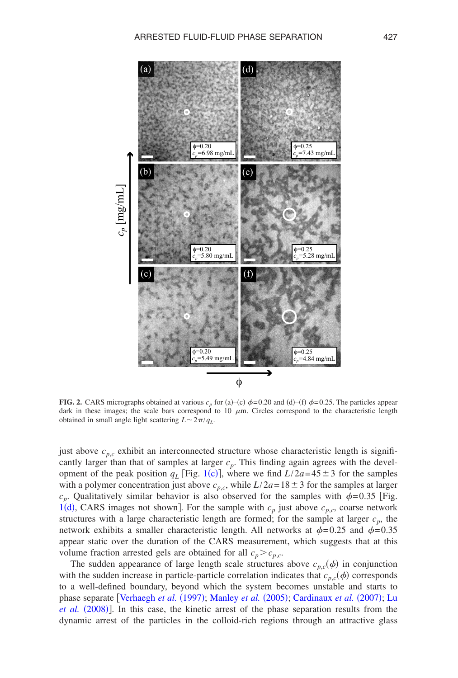<span id="page-6-0"></span>

**FIG. 2.** CARS micrographs obtained at various  $c_p$  for (a)–(c)  $\phi$ =0.20 and (d)–(f)  $\phi$ =0.25. The particles appear dark in these images; the scale bars correspond to 10  $\mu$ m. Circles correspond to the characteristic length obtained in small angle light scattering  $L \sim 2\pi/q_L$ .

just above  $c_{p,c}$  exhibit an interconnected structure whose characteristic length is significantly [large](#page-5-0)r than that of samples at larger  $c_p$ . This finding again agrees with the development of the peak position  $q_L$  [Fig. 1(c)], where we find  $L/2a=45\pm3$  for the samples with a polymer concentration just above  $c_{p,c}$ , while  $L/2a=18\pm3$  for the samples at larger  $c_p$ . Qualitatively similar behavior is also observed for the samples with  $\phi$ =0.35 [Fig. 1(d), CARS images not shown]. For the sample with  $c_p$  just above  $c_{p,c}$ , coarse network structures with a large characteristic length are formed; for the sample at larger  $c_p$ , the network exhibits a smaller characteristic length. All networks at  $\phi$ =0.25 and  $\phi$ =0.35 appear static over the duration of the CARS measurement, which suggests that at this volume fraction arrested gels are obtained for all  $c_p > c_{p,c}$ .

The sudden appearance of large length scale structures above  $c_{p,c}(\phi)$  in conjunction with the sudden increase in particle-particle correlation indicates that  $c_{p,c}(\phi)$  corresponds to a well-defin[ed boundary, beyond w](#page-17-1)[hich the system bec](#page-16-8)[omes unstable and start](#page-15-2)s [to](#page-16-9) [phase separat](#page-16-9)e [Verhaegh et al. (1997); Manley et al. (2005); Cardinaux et al. (2007); Lu et al. (2008)]. In this case, the kinetic arrest of the phase separation results from the dynamic arrest of the particles in the colloid-rich regions through an attractive glass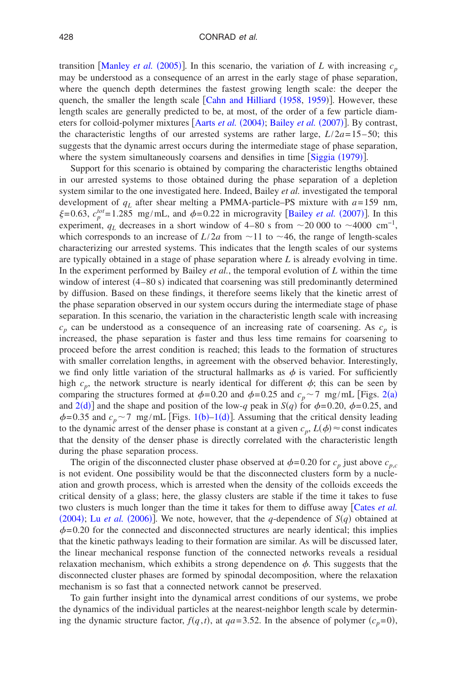transition [[Manley](#page-16-8) *et al.* (2005)]. In this scenario, the variation of *L* with increasing  $c_p$ may be understood as a consequence of an arrest in the early stage of phase separation, where the quench depth determines [the fastest growing leng](#page-15-6)th scale: the deeper the quench, the smaller the length scale [Cahn and Hilliard (1958, [1959](#page-15-7))]. However, these length scales are generally predict[ed to be, at most, of](#page-15-8) [the order of a few p](#page-15-9)article diameters for colloid-polymer mixtures [Aarts *et al.* (2004); Bailey *et al.* (2007)]. By contrast, the characteristic lengths of our arrested systems are rather large,  $L/2a=15-50$ ; this suggests that the dynamic arrest occurs during the intermediate st[age of phase se](#page-16-19)paration, where the system simultaneously coarsens and densifies in time [Siggia (1979)].

Support for this scenario is obtained by comparing the characteristic lengths obtained in our arrested systems to those obtained during the phase separation of a depletion system similar to the one investigated here. Indeed, Bailey *et al.* investigated the temporal development of  $q_L$  after shear melting a PMMA-particle–[PS mixture with](#page-15-9)  $a=159$  nm,  $\xi$ =0.63,  $c_p^{tot}$ =1.285 mg/mL, and  $\phi$ =0.22 in microgravity [Bailey *et al.* (2007)]. In this experiment,  $q_L$  decreases in a short window of 4–80 s from  $\sim$ 20 000 to  $\sim$ 4000 cm<sup>-1</sup>, which corresponds to an increase of  $L/2a$  from  $\sim$ 11 to  $\sim$ 46, the range of length-scales characterizing our arrested systems. This indicates that the length scales of our systems are typically obtained in a stage of phase separation where *L* is already evolving in time. In the experiment performed by Bailey *et al.*, the temporal evolution of *L* within the time window of interest (4-80 s) indicated that coarsening was still predominantly determined by diffusion. Based on these findings, it therefore seems likely that the kinetic arrest of the phase separation observed in our system occurs during the intermediate stage of phase separation. In this scenario, the variation in the characteristic length scale with increasing  $c_p$  can be understood as a consequence of an increasing rate of coarsening. As  $c_p$  is increased, the phase separation is faster and thus less time remains for coarsening to proceed before the arrest condition is reached; this leads to the formation of structures with smaller correlation lengths, in agreement with the observed behavior. Interestingly, we find only little variation of the structural hallmarks as  $\phi$  is varied. For sufficiently high  $c_p$ , the network structure is nearly identical for different  $\phi$ ; this can be see[n by](#page-6-0) co[mparin](#page-6-0)g the structures formed at  $\phi$ =0.20 and  $\phi$ =0.25 and  $c_p$  ~7 mg/mL [Figs. 2(a) and  $2(d)$  and the shape and positi[on of](#page-5-0) [the lo](#page-5-0)w-*q* peak in *S*(*q*) for  $\phi$ =0.20,  $\phi$ =0.25, and  $\phi$ =0.35 and  $c_p$  ~ 7 mg/mL [Figs. 1(b)–1(d)]. Assuming that the critical density leading to the dynamic arrest of the denser phase is constant at a given  $c_p$ ,  $L(\phi) \approx$  const indicates that the density of the denser phase is directly correlated with the characteristic length during the phase separation process.

The origin of the disconnected cluster phase observed at  $\phi$ =0.20 for  $c_p$  just above  $c_{p,c}$ is not evident. One possibility would be that the disconnected clusters form by a nucleation and growth process, which is arrested when the density of the colloids exceeds the critical density of a glass; here, the glassy clusters are stable if the time it t[akes to fuse](#page-15-10) [two clu](#page-15-10)[sters is much long](#page-16-5)er than the time it takes for them to diffuse away Cates *et al.* (2004); Lu *et al.* (2006)]. We note, however, that the *q*-dependence of  $S(q)$  obtained at  $\phi$ =0.20 for the connected and disconnected structures are nearly identical; this implies that the kinetic pathways leading to their formation are similar. As will be discussed later, the linear mechanical response function of the connected networks reveals a residual relaxation mechanism, which exhibits a strong dependence on  $\phi$ . This suggests that the disconnected cluster phases are formed by spinodal decomposition, where the relaxation mechanism is so fast that a connected network cannot be preserved.

To gain further insight into the dynamical arrest conditions of our systems, we probe the dynamics of the individual particles at the nearest-neighbor length scale by determining the dynamic structure factor,  $f(q, t)$ , at  $qa = 3.52$ . In the absence of polymer  $(c_p = 0)$ ,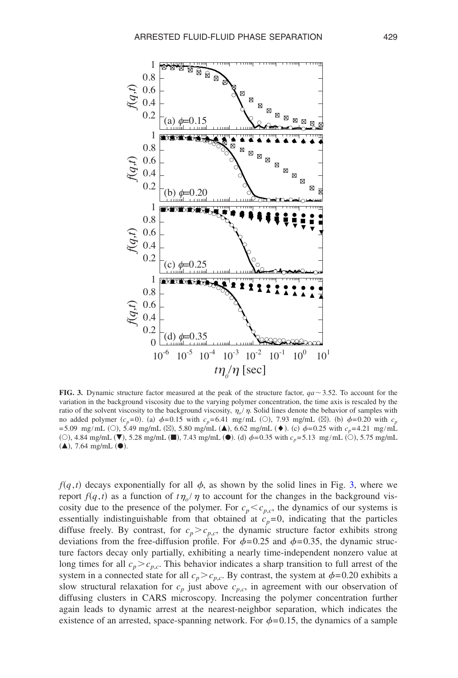<span id="page-8-0"></span>

**FIG. 3.** Dynamic structure factor measured at the peak of the structure factor,  $qa \sim 3.52$ . To account for the variation in the background viscosity due to the varying polymer concentration, the time axis is rescaled by the ratio of the solvent viscosity to the background viscosity,  $\eta_o/\eta$ . Solid lines denote the behavior of samples with no added polymer  $(c_p=0)$ . (a)  $\phi=0.15$  with  $c_p=6.41$  mg/mL ( $\odot$ ), 7.93 mg/mL ( $\boxtimes$ ). (b)  $\phi=0.20$  with  $c_p$  $= 5.09 \text{ mg/mL}$  (O), 5.49 mg/mL ( $\boxtimes$ ), 5.80 mg/mL ( $\blacktriangle$ ), 6.62 mg/mL ( $\blacklozenge$ ). (c)  $\phi = 0.25$  with  $c_p = 4.21 \text{ mg/mL}$ (○), 4.84 mg/mL (▼), 5.28 mg/mL (■), 7.43 mg/mL (●). (d)  $\phi$ =0.35 with  $c_p$ =5.13 mg/mL (○), 5.75 mg/mL  $(\triangle)$ , 7.64 mg/mL  $(\bullet)$ .

 $f(q,t)$  decays exponentially for all  $\phi$ , as shown by the solid lines in Fig. [3,](#page-8-0) where we report  $f(q, t)$  as a function of  $t\eta_o/\eta$  to account for the changes in the background viscosity due to the presence of the polymer. For  $c_p < c_{p,c}$ , the dynamics of our systems is essentially indistinguishable from that obtained at  $c_p=0$ , indicating that the particles diffuse freely. By contrast, for  $c_p > c_{p,c}$ , the dynamic structure factor exhibits strong deviations from the free-diffusion profile. For  $\phi$ =0.25 and  $\phi$ =0.35, the dynamic structure factors decay only partially, exhibiting a nearly time-independent nonzero value at long times for all  $c_p > c_{p,c}$ . This behavior indicates a sharp transition to full arrest of the system in a connected state for all  $c_p > c_{p,c}$ . By contrast, the system at  $\phi = 0.20$  exhibits a slow structural relaxation for  $c_p$  just above  $c_{p,c}$ , in agreement with our observation of diffusing clusters in CARS microscopy. Increasing the polymer concentration further again leads to dynamic arrest at the nearest-neighbor separation, which indicates the existence of an arrested, space-spanning network. For  $\phi$ =0.15, the dynamics of a sample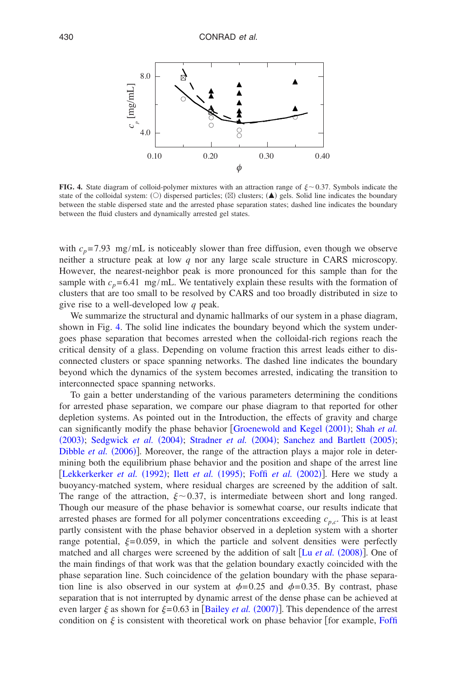<span id="page-9-0"></span>

**FIG. 4.** State diagram of colloid-polymer mixtures with an attraction range of  $\xi \sim 0.37$ . Symbols indicate the state of the colloidal system: ( $\circ$ ) dispersed particles; ( $\boxtimes$ ) clusters; ( $\blacktriangle$ ) gels. Solid line indicates the boundary between the stable dispersed state and the arrested phase separation states; dashed line indicates the boundary between the fluid clusters and dynamically arrested gel states.

with  $c_p$ =7.93 mg/mL is noticeably slower than free diffusion, even though we observe neither a structure peak at low *q* nor any large scale structure in CARS microscopy. However, the nearest-neighbor peak is more pronounced for this sample than for the sample with  $c_p = 6.41$  mg/mL. We tentatively explain these results with the formation of clusters that are too small to be resolved by CARS and too broadly distributed in size to give rise to a well-developed low *q* peak.

We summarize the structural and dynamic hallmarks of our system in a phase diagram, shown in Fig. [4.](#page-9-0) The solid line indicates the boundary beyond which the system undergoes phase separation that becomes arrested when the colloidal-rich regions reach the critical density of a glass. Depending on volume fraction this arrest leads either to disconnected clusters or space spanning networks. The dashed line indicates the boundary beyond which the dynamics of the system becomes arrested, indicating the transition to interconnected space spanning networks.

To gain a better understanding of the various parameters determining the conditions for arrested phase separation, we compare our phase diagram to that reported for other depletion systems. As pointed out in the Intr[oduction, the effects of gravity](#page-16-11) [and charge](#page-16-10) [can sig](#page-16-10)[nificantly modify the phas](#page-16-4)e behavior [[Groenewold](#page-17-2) and Kegel (2001); Shah et al. (2003); [Sedgwick](#page-15-4) et al. (2004); Stradner et al. (2004); [Sanchez](#page-16-12) [and](#page-16-12) [Bartlett](#page-16-12) (2005); Dibble et al. (2006)]. Moreover, the range of the attraction plays a major role in deter[mining both the equilibrium](#page-16-13) [phase behavior and](#page-16-20) [the position and shap](#page-15-11)e of the arrest line [Lekkerkerker *et al.* (1992); Ilett *et al.* (1995); Foffi *et al.* (2002)]. Here we study a buoyancy-matched system, where residual charges are screened by the addition of salt. The range of the attraction,  $\xi \sim 0.37$ , is intermediate between short and long ranged. Though our measure of the phase behavior is somewhat coarse, our results indicate that arrested phases are formed for all polymer concentrations exceeding  $c_{p,c}$ . This is at least partly consistent with the phase behavior observed in a depletion system with a shorter range potential,  $\xi = 0.059$ , in which the particle and solvent [densities were](#page-16-9) perfectly matched and all charges were screened by the addition of salt [Lu et al. (2008)]. One of the main findings of that work was that the gelation boundary exactly coincided with the phase separation line. Such coincidence of the gelation boundary with the phase separation line is also observed in our system at  $\phi$ =0.25 and  $\phi$ =0.35. By contrast, phase separation that is not interrupted by d[ynamic arrest of the d](#page-15-9)ense phase can be achieved at even larger  $\xi$  as shown for  $\xi$ =0.63 in [Bailey *et al.* (2007)]. This dependence of the [arrest](#page-15-11) condition on  $\xi$  is consistent with theoretical work on phase behavior [for example, Foffi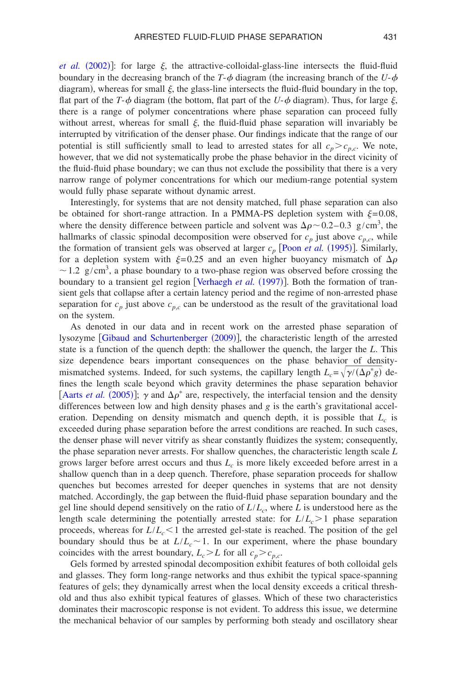*[et](#page-15-11) [al.](#page-15-11)*  $(2002)$ ]: for large  $\xi$ , the attractive-colloidal-glass-line intersects the fluid-fluid boundary in the decreasing branch of the *T*- $\phi$  diagram (the increasing branch of the *U*- $\phi$ diagram), whereas for small  $\xi$ , the glass-line intersects the fluid-fluid boundary in the top, flat part of the *T*- $\phi$  diagram (the bottom, flat part of the *U*- $\phi$  diagram). Thus, for large  $\xi$ , there is a range of polymer concentrations where phase separation can proceed fully without arrest, whereas for small  $\xi$ , the fluid-fluid phase separation will invariably be interrupted by vitrification of the denser phase. Our findings indicate that the range of our potential is still sufficiently small to lead to arrested states for all  $c_p > c_{p,c}$ . We note, however, that we did not systematically probe the phase behavior in the direct vicinity of the fluid-fluid phase boundary; we can thus not exclude the possibility that there is a very narrow range of polymer concentrations for which our medium-range potential system would fully phase separate without dynamic arrest.

Interestingly, for systems that are not density matched, full phase separation can also be obtained for short-range attraction. In a PMMA-PS depletion system with  $\xi = 0.08$ , where the density difference between particle and solvent was  $\Delta \rho \sim 0.2 - 0.3$  g/cm<sup>3</sup>, the hallmarks of classic spinodal decomposition were observed for  $c_p$  [just above](#page-16-3)  $c_{p,c}$ , while the formation of transient gels was observed at larger  $c_p$  [Poon *et al.* (1995)]. Similarly, for a depletion system with  $\xi=0.25$  and an even higher buoyancy mismatch of  $\Delta \rho$  $\sim$  1.2 g/cm<sup>3</sup>, a phase boundary to [a two-phase region was](#page-17-1) observed before crossing the boundary to a transient gel region [Verhaegh et al. (1997)]. Both the formation of transient gels that collapse after a certain latency period and the regime of non-arrested phase separation for  $c_p$  just above  $c_{p,c}$  can be understood as the result of the gravitational load on the system.

As den[oted in our data and in recent wo](#page-15-12)rk on the arrested phase separation of lysozyme [Gibaud and Schurtenberger (2009)], the characteristic length of the arrested state is a function of the quench depth: the shallower the quench, the larger the *L*. This size dependence bears important consequences on the phase behavior of densitymismatched systems. Indeed, for such systems, the capillary length  $L_c = \sqrt{\gamma/(\Delta \rho^* g)}$  de[fines the length sca](#page-15-13)le beyond which gravity determines the phase separation behavior [Aarts *et al.* (2005)];  $\gamma$  and  $\Delta \rho^*$  are, respectively, the interfacial tension and the density differences between low and high density phases and *g* is the earth's gravitational acceleration. Depending on density mismatch and quench depth, it is possible that  $L_c$  is exceeded during phase separation before the arrest conditions are reached. In such cases, the denser phase will never vitrify as shear constantly fluidizes the system; consequently, the phase separation never arrests. For shallow quenches, the characteristic length scale *L* grows larger before arrest occurs and thus  $L_c$  is more likely exceeded before arrest in a shallow quench than in a deep quench. Therefore, phase separation proceeds for shallow quenches but becomes arrested for deeper quenches in systems that are not density matched. Accordingly, the gap between the fluid-fluid phase separation boundary and the gel line should depend sensitively on the ratio of *L*/*Lc*, where *L* is understood here as the length scale determining the potentially arrested state: for  $L/L_c > 1$  phase separation proceeds, whereas for  $L/L_c \leq 1$  the arrested gel-state is reached. The position of the gel boundary should thus be at  $L/L_c \sim 1$ . In our experiment, where the phase boundary coincides with the arrest boundary,  $L_c > L$  for all  $c_p > c_{p,c}$ .

Gels formed by arrested spinodal decomposition exhibit features of both colloidal gels and glasses. They form long-range networks and thus exhibit the typical space-spanning features of gels; they dynamically arrest when the local density exceeds a critical threshold and thus also exhibit typical features of glasses. Which of these two characteristics dominates their macroscopic response is not evident. To address this issue, we determine the mechanical behavior of our samples by performing both steady and oscillatory shear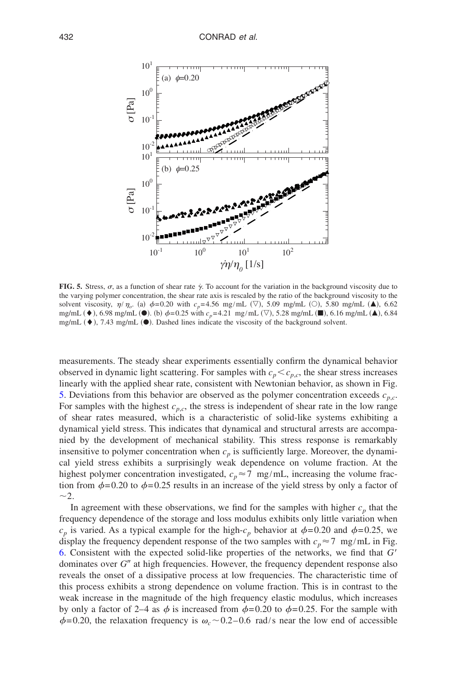<span id="page-11-0"></span>

**FIG. 5.** Stress,  $\sigma$ , as a function of shear rate  $\dot{\gamma}$ . To account for the variation in the background viscosity due to the varying polymer concentration, the shear rate axis is rescaled by the ratio of the background viscosity to the solvent viscosity,  $\eta/\eta_o$ . (a)  $\phi$ =0.20 with  $c_p$ =4.56 mg/mL ( $\heartsuit$ ), 5.09 mg/mL ( $\heartsuit$ ), 5.80 mg/mL ( $\blacktriangle$ ), 6.62 mg/mL ( $\bullet$ ), 6.98 mg/mL ( $\bullet$ ). (b)  $\phi$ =0.25 with  $c_p$ =4.21 mg/mL ( $\nabla$ ), 5.28 mg/mL ( $\blacksquare$ ), 6.16 mg/mL ( $\blacktriangle$ ), 6.84 mg/mL  $(\blacklozenge)$ , 7.43 mg/mL  $(\blacklozenge)$ . Dashed lines indicate the viscosity of the background solvent.

measurements. The steady shear experiments essentially confirm the dynamical behavior observed in dynamic light scattering. For samples with  $c_p < c_{p,c}$ , the shear stress increases linearly with the applied shear rate, consistent with Newtonian behavior, as shown in Fig. [5.](#page-11-0) Deviations from this behavior are observed as the polymer concentration exceeds  $c_{p,c}$ . For samples with the highest  $c_{p,c}$ , the stress is independent of shear rate in the low range of shear rates measured, which is a characteristic of solid-like systems exhibiting a dynamical yield stress. This indicates that dynamical and structural arrests are accompanied by the development of mechanical stability. This stress response is remarkably insensitive to polymer concentration when  $c<sub>p</sub>$  is sufficiently large. Moreover, the dynamical yield stress exhibits a surprisingly weak dependence on volume fraction. At the highest polymer concentration investigated,  $c_p \approx 7 \text{ mg/mL}$ , increasing the volume fraction from  $\phi$ =0.20 to  $\phi$ =0.25 results in an increase of the yield stress by only a factor of  $\sim$ 2.

In agreement with these observations, we find for the samples with higher  $c_p$  that the frequency dependence of the storage and loss modulus exhibits only little variation when  $c_p$  is varied. As a typical example for the high- $c_p$  behavior at  $\phi$ =0.20 and  $\phi$ =0.25, we display the frequency dependent response of the two samples with  $c_p \approx 7 \text{ mg/mL}$  in Fig. [6.](#page-12-0) Consistent with the expected solid-like properties of the networks, we find that *G* dominates over G" at high frequencies. However, the frequency dependent response also reveals the onset of a dissipative process at low frequencies. The characteristic time of this process exhibits a strong dependence on volume fraction. This is in contrast to the weak increase in the magnitude of the high frequency elastic modulus, which increases by only a factor of 2–4 as  $\phi$  is increased from  $\phi$ =0.20 to  $\phi$ =0.25. For the sample with  $\phi$ =0.20, the relaxation frequency is  $\omega_c$  ~0.2–0.6 rad/s near the low end of accessible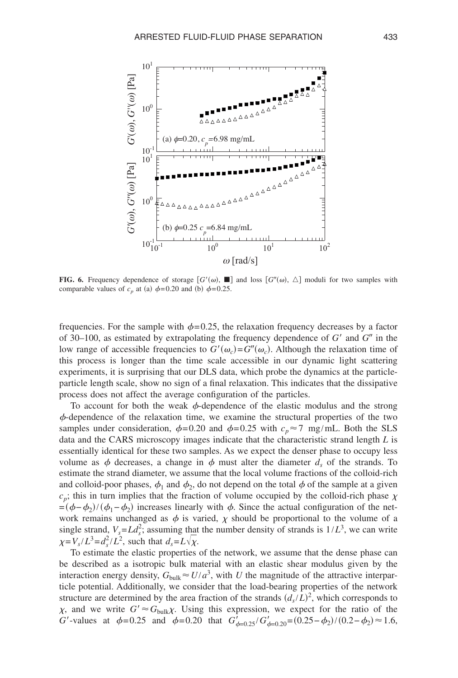<span id="page-12-0"></span>

**FIG. 6.** Frequency dependence of storage  $[G'(\omega), \blacksquare]$  and loss  $[G''(\omega), \triangle]$  moduli for two samples with comparable values of  $c_p$  at (a)  $\phi$ =0.20 and (b)  $\phi$ =0.25.

frequencies. For the sample with  $\phi$ =0.25, the relaxation frequency decreases by a factor of 30–100, as estimated by extrapolating the frequency dependence of  $G'$  and  $G''$  in the low range of accessible frequencies to  $G'(\omega_c) = G''(\omega_c)$ . Although the relaxation time of this process is longer than the time scale accessible in our dynamic light scattering experiments, it is surprising that our DLS data, which probe the dynamics at the particleparticle length scale, show no sign of a final relaxation. This indicates that the dissipative process does not affect the average configuration of the particles.

To account for both the weak  $\phi$ -dependence of the elastic modulus and the strong  $\phi$ -dependence of the relaxation time, we examine the structural properties of the two samples under consideration,  $\phi$ =0.20 and  $\phi$ =0.25 with  $c_p \approx 7$  mg/mL. Both the SLS data and the CARS microscopy images indicate that the characteristic strand length *L* is essentially identical for these two samples. As we expect the denser phase to occupy less volume as  $\phi$  decreases, a change in  $\phi$  must alter the diameter  $d_s$  of the strands. To estimate the strand diameter, we assume that the local volume fractions of the colloid-rich and colloid-poor phases,  $\phi_1$  and  $\phi_2$ , do not depend on the total  $\phi$  of the sample at a given  $c_p$ ; this in turn implies that the fraction of volume occupied by the colloid-rich phase  $\chi$  $=(\phi - \phi_2)/(\phi_1 - \phi_2)$  increases linearly with  $\phi$ . Since the actual configuration of the network remains unchanged as  $\phi$  is varied,  $\chi$  should be proportional to the volume of a single strand,  $V_s = L d_s^2$ ; assuming that the number density of strands is  $1/L^3$ , we can write  $\chi = V_s / L^3 = d_s^2 / L^2$ , such that  $d_s = L\sqrt{\chi}$ .

To estimate the elastic properties of the network, we assume that the dense phase can be described as a isotropic bulk material with an elastic shear modulus given by the interaction energy density,  $G_{\text{bulk}} \approx U/a^3$ , with *U* the magnitude of the attractive interparticle potential. Additionally, we consider that the load-bearing properties of the network structure are determined by the area fraction of the strands  $(d_s/L)^2$ , which corresponds to  $\chi$ , and we write  $G' \approx G_{bulk} \chi$ . Using this expression, we expect for the ratio of the *G*'-values at  $\phi$ =0.25 and  $\phi$ =0.20 that  $G'_{\phi=0.25}/G'_{\phi=0.20}$ =(0.25− $\phi_2$ )/(0.2− $\phi_2$ )≈1.6,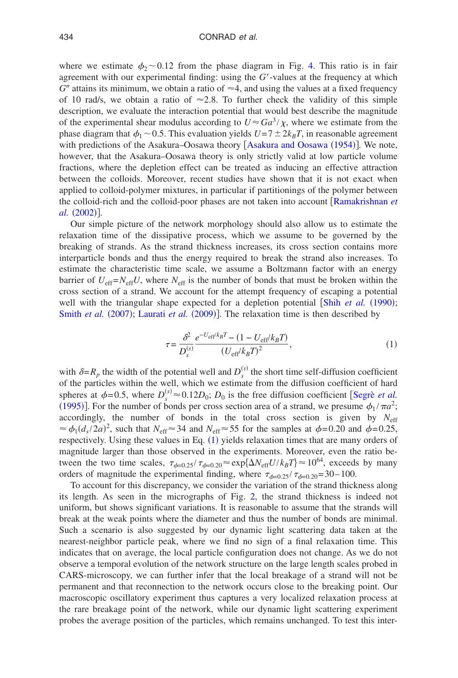where we estimate  $\phi_2 \sim 0.12$  from the phase diagram in Fig. [4.](#page-9-0) This ratio is in fair agreement with our experimental finding: using the *G*-values at the frequency at which  $G''$  attains its minimum, we obtain a ratio of  $\approx$ 4, and using the values at a fixed frequency of 10 rad/s, we obtain a ratio of  $\approx$  2.8. To further check the validity of this simple description, we evaluate the interaction potential that would best describe the magnitude of the experimental shear modulus according to  $U \approx G a^3 / \chi$ , where we estimate from the phase diagram that  $\phi_1 \sim 0.5$ . This evaluation yields  $U=7\pm 2k_BT$ , in reasonable agreement with predictions of the [Asakura](#page-15-14)–Oosawa theory [Asakura [and](#page-15-14) [Oosawa](#page-15-14) (1954)]. We note, however, that the Asakura–Oosawa theory is only strictly valid at low particle volume fractions, where the depletion effect can be treated as inducing an effective attraction between the colloids. Moreover, recent studies have shown that it is not exact when applied to colloid-polymer mixtures, in particular if partitionings of the [polymer between](#page-16-21) [the colloid](#page-16-21)-rich and the colloid-poor phases are not taken into account Ramakrishnan *et al.* (2002)].

<span id="page-13-0"></span>Our simple picture of the network morphology should also allow us to estimate the relaxation time of the dissipative process, which we assume to be governed by the breaking of strands. As the strand thickness increases, its cross section contains more interparticle bonds and thus the energy required to break the strand also increases. To estimate the characteristic time scale, we assume a Boltzmann factor with an energy barrier of  $U_{\text{eff}}=N_{\text{eff}}U$ , where  $N_{\text{eff}}$  is the number of bonds that must be broken within the cross section of a strand. We account for the attempt frequency of [escaping a potential](#page-16-22) [well with the trian](#page-17-5)[gular shape expected](#page-16-23) for a depletion potential [Shih et al. (1990); Smith *et al.* (2007); Laurati *et al.* (2009)]. The relaxation time is then described by

$$
\tau = \frac{\delta^2}{D_s^{(s)}} \frac{e^{-U_{\text{eff}}/k_B T} - (1 - U_{\text{eff}}/k_B T)}{(U_{\text{eff}}/k_B T)^2},\tag{1}
$$

with  $\delta = R_p$  the width of the potential well and  $D_s^{(s)}$  the short time self-diffusion coefficient of the particles within the well, which we estimate from the diffusion coeffi[cient of hard](#page-16-24) [spheres](#page-16-24) at  $\phi = 0.5$ , where  $D_s^{(s)} \approx 0.12D_0$ ;  $D_0$  is the free diffusion coefficient [Segrè *et al.*] (1995)]. For the number of bonds per cross section area of a strand, we presume  $\phi_1 / \pi a^2$ ; accordingly, the number of bonds in the total cross section is given by  $N_{\text{eff}}$  $\approx \phi_1(d_s/2a)^2$ , such that  $N_{\text{eff}} \approx 34$  $N_{\text{eff}} \approx 34$  $N_{\text{eff}} \approx 34$  and  $N_{\text{eff}} \approx 55$  for the samples at  $\phi = 0.20$  and  $\phi = 0.25$ , respectively. Using these values in Eq.  $(1)$  yields relaxation times that are many orders of magnitude larger than those observed in the experiments. Moreover, even the ratio between the two time scales,  $\tau_{\phi=0.25}/\tau_{\phi=0.20} \approx \exp{\{\Delta N_{\text{eff}}}U/k_BT\}} \approx 10^{64}$ , exceeds by many orders of magnitude the experimental finding, where  $\tau_{\phi=0.25}/\tau_{\phi=0.20}$ =30-100.

To account for this discrepancy, we consider th[e v](#page-6-0)ariation of the strand thickness along its length. As seen in the micrographs of Fig. 2, the strand thickness is indeed not uniform, but shows significant variations. It is reasonable to assume that the strands will break at the weak points where the diameter and thus the number of bonds are minimal. Such a scenario is also suggested by our dynamic light scattering data taken at the nearest-neighbor particle peak, where we find no sign of a final relaxation time. This indicates that on average, the local particle configuration does not change. As we do not observe a temporal evolution of the network structure on the large length scales probed in CARS-microscopy, we can further infer that the local breakage of a strand will not be permanent and that reconnection to the network occurs close to the breaking point. Our macroscopic oscillatory experiment thus captures a very localized relaxation process at the rare breakage point of the network, while our dynamic light scattering experiment probes the average position of the particles, which remains unchanged. To test this inter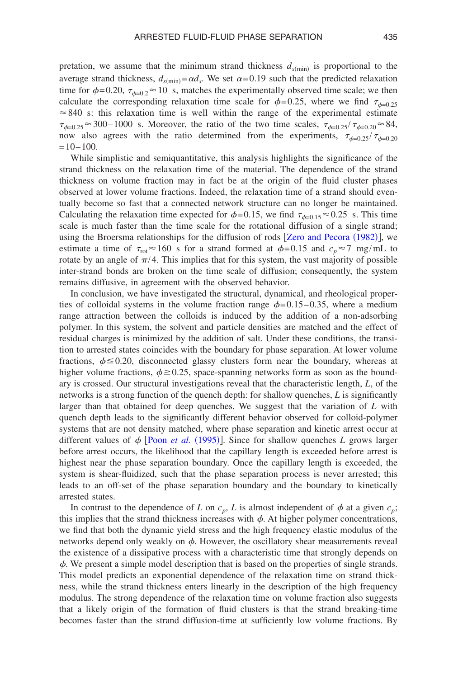pretation, we assume that the minimum strand thickness  $d_{s(\text{min})}$  is proportional to the average strand thickness,  $d_{s(\text{min})} = \alpha d_s$ . We set  $\alpha = 0.19$  such that the predicted relaxation time for  $\phi = 0.20$ ,  $\tau_{\phi=0.2} \approx 10$  s, matches the experimentally observed time scale; we then calculate the corresponding relaxation time scale for  $\phi$ =0.25, where we find  $\tau_{\phi=0.25}$  $\approx 840$  s: this relaxation time is well within the range of the experimental estimate  $\tau_{\phi=0.25} \approx 300-1000$  s. Moreover, the ratio of the two time scales,  $\tau_{\phi=0.25}/\tau_{\phi=0.20} \approx 84$ , now also agrees with the ratio determined from the experiments,  $\tau_{\phi=0.25}/\tau_{\phi=0.20}$  $=10-100.$ 

While simplistic and semiquantitative, this analysis highlights the significance of the strand thickness on the relaxation time of the material. The dependence of the strand thickness on volume fraction may in fact be at the origin of the fluid cluster phases observed at lower volume fractions. Indeed, the relaxation time of a strand should eventually become so fast that a connected network structure can no longer be maintained. Calculating the relaxation time expected for  $\phi$ =0.15, we find  $\tau_{\phi=0.15}$  ≈0.25 s. This time scale is much faster than the time scale for the rotational [diffusion of a single str](#page-17-6)and; using the Broersma relationships for the diffusion of rods [Zero and Pecora (1982)], we estimate a time of  $\tau_{\text{rot}} \approx 160$  s for a strand formed at  $\phi = 0.15$  and  $c_p \approx 7$  mg/mL to rotate by an angle of  $\pi/4$ . This implies that for this system, the vast majority of possible inter-strand bonds are broken on the time scale of diffusion; consequently, the system remains diffusive, in agreement with the observed behavior.

In conclusion, we have investigated the structural, dynamical, and rheological properties of colloidal systems in the volume fraction range  $\phi$  = 0.15–0.35, where a medium range attraction between the colloids is induced by the addition of a non-adsorbing polymer. In this system, the solvent and particle densities are matched and the effect of residual charges is minimized by the addition of salt. Under these conditions, the transition to arrested states coincides with the boundary for phase separation. At lower volume fractions,  $\phi \leq 0.20$ , disconnected glassy clusters form near the boundary, whereas at higher volume fractions,  $\phi \ge 0.25$ , space-spanning networks form as soon as the boundary is crossed. Our structural investigations reveal that the characteristic length, *L*, of the networks is a strong function of the quench depth: for shallow quenches, *L* is significantly larger than that obtained for deep quenches. We suggest that the variation of *L* with quench depth leads to the significantly different behavior observed for colloid-polymer systems that are not d[ensity matched, whe](#page-16-3)re phase separation and kinetic arrest occur at different values of  $\phi$  [Poon *et al.* (1995)]. Since for shallow quenches *L* grows larger before arrest occurs, the likelihood that the capillary length is exceeded before arrest is highest near the phase separation boundary. Once the capillary length is exceeded, the system is shear-fluidized, such that the phase separation process is never arrested; this leads to an off-set of the phase separation boundary and the boundary to kinetically arrested states.

In contrast to the dependence of *L* on  $c_p$ , *L* is almost independent of  $\phi$  at a given  $c_p$ ; this implies that the strand thickness increases with  $\phi$ . At higher polymer concentrations, we find that both the dynamic yield stress and the high frequency elastic modulus of the networks depend only weakly on  $\phi$ . However, the oscillatory shear measurements reveal the existence of a dissipative process with a characteristic time that strongly depends on  $\phi$ . We present a simple model description that is based on the properties of single strands. This model predicts an exponential dependence of the relaxation time on strand thickness, while the strand thickness enters linearly in the description of the high frequency modulus. The strong dependence of the relaxation time on volume fraction also suggests that a likely origin of the formation of fluid clusters is that the strand breaking-time becomes faster than the strand diffusion-time at sufficiently low volume fractions. By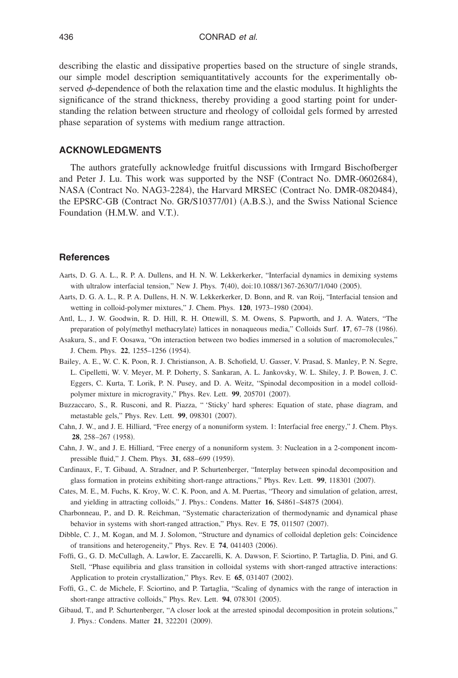describing the elastic and dissipative properties based on the structure of single strands, our simple model description semiquantitatively accounts for the experimentally observed  $\phi$ -dependence of both the relaxation time and the elastic modulus. It highlights the significance of the strand thickness, thereby providing a good starting point for understanding the relation between structure and rheology of colloidal gels formed by arrested phase separation of systems with medium range attraction.

### **ACKNOWLEDGMENTS**

<span id="page-15-13"></span>The authors gratefully acknowledge fruitful discussions with Irmgard Bischofberger and Peter J. Lu. This work was supported by the NSF (Contract No. DMR-0602684), NASA (Contract No. NAG3-2284), the Harvard MRSEC (Contract No. DMR-0820484), the EPSRC-GB (Contract No. GR/S10377/01) (A.B.S.), and the Swiss National Science Foundation (H.M.W. and V.T.).

#### <span id="page-15-8"></span><span id="page-15-5"></span>**References**

- <span id="page-15-14"></span>Aarts, D. G. A. L., R. P. A. Dullens, and H. N. W. Lekkerkerker, "Interfacial dynamics in demixing systems with ultralow interfacial tension," New J. Phys. 7(40), doi:10.1088/1367-2630/7/1/040 (2005).
- <span id="page-15-9"></span>Aarts, D. G. A. L., R. P. A. Dullens, H. N. W. Lekkerkerker, D. Bonn, and R. van Roij, "Interfacial tension and wetting in colloid-polymer mixtures," J. Chem. Phys. 120, 1973-1980 (2004).
- Antl, L., J. W. Goodwin, R. D. Hill, R. H. Ottewill, S. M. Owens, S. Papworth, and J. A. Waters, "The preparation of poly(methyl methacrylate) lattices in nonaqueous media," Colloids Surf. 17, 67-78 (1986).
- <span id="page-15-1"></span>Asakura, S., and F. Oosawa, "On interaction between two bodies immersed in a solution of macromolecules," J. Chem. Phys. 22, 1255-1256 (1954).
- <span id="page-15-7"></span><span id="page-15-6"></span>Bailey, A. E., W. C. K. Poon, R. J. Christianson, A. B. Schofield, U. Gasser, V. Prasad, S. Manley, P. N. Segre, L. Cipelletti, W. V. Meyer, M. P. Doherty, S. Sankaran, A. L. Jankovsky, W. L. Shiley, J. P. Bowen, J. C. Eggers, C. Kurta, T. Lorik, P. N. Pusey, and D. A. Weitz, "Spinodal decomposition in a model colloidpolymer mixture in microgravity," Phys. Rev. Lett. 99, 205701 (2007).
- <span id="page-15-2"></span>Buzzaccaro, S., R. Rusconi, and R. Piazza, " 'Sticky' hard spheres: Equation of state, phase diagram, and metastable gels," Phys. Rev. Lett. 99, 098301 (2007).
- <span id="page-15-10"></span>Cahn, J. W., and J. E. Hilliard, "Free energy of a nonuniform system. 1: Interfacial free energy," J. Chem. Phys. **28**, 258-267 (1958).
- <span id="page-15-3"></span>Cahn, J. W., and J. E. Hilliard, "Free energy of a nonuniform system. 3: Nucleation in a 2-component incompressible fluid," J. Chem. Phys. 31, 688-699 (1959).
- <span id="page-15-4"></span>Cardinaux, F., T. Gibaud, A. Stradner, and P. Schurtenberger, "Interplay between spinodal decomposition and glass formation in proteins exhibiting short-range attractions," Phys. Rev. Lett. 99, 118301 (2007).
- <span id="page-15-11"></span>Cates, M. E., M. Fuchs, K. Kroy, W. C. K. Poon, and A. M. Puertas, "Theory and simulation of gelation, arrest, and yielding in attracting colloids," J. Phys.: Condens. Matter 16, S4861-S4875 (2004).
- <span id="page-15-0"></span>Charbonneau, P., and D. R. Reichman, "Systematic characterization of thermodynamic and dynamical phase behavior in systems with short-ranged attraction," Phys. Rev. E 75, 011507 (2007).
- <span id="page-15-12"></span>Dibble, C. J., M. Kogan, and M. J. Solomon, "Structure and dynamics of colloidal depletion gels: Coincidence of transitions and heterogeneity," Phys. Rev. E 74, 041403 (2006).
- Foffi, G., G. D. McCullagh, A. Lawlor, E. Zaccarelli, K. A. Dawson, F. Sciortino, P. Tartaglia, D. Pini, and G. Stell, "Phase equilibria and glass transition in colloidal systems with short-ranged attractive interactions: Application to protein crystallization," Phys. Rev. E 65, 031407 (2002).
- Foffi, G., C. de Michele, F. Sciortino, and P. Tartaglia, "Scaling of dynamics with the range of interaction in short-range attractive colloids," Phys. Rev. Lett. 94, 078301 (2005).
- Gibaud, T., and P. Schurtenberger, "A closer look at the arrested spinodal decomposition in protein solutions," J. Phys.: Condens. Matter 21, 322201 (2009).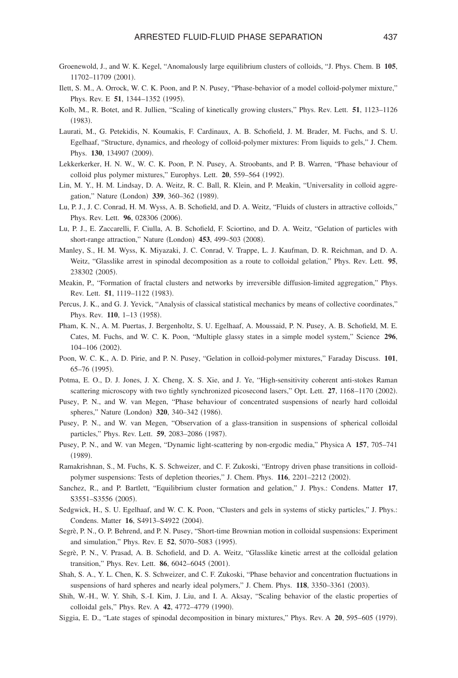- <span id="page-16-23"></span><span id="page-16-20"></span><span id="page-16-11"></span><span id="page-16-6"></span>Groenewold, J., and W. K. Kegel, "Anomalously large equilibrium clusters of colloids, "J. Phys. Chem. B **105**, 11702-11709 (2001).
- <span id="page-16-13"></span>Ilett, S. M., A. Orrock, W. C. K. Poon, and P. N. Pusey, "Phase-behavior of a model colloid-polymer mixture," Phys. Rev. E 51, 1344-1352 (1995).
- <span id="page-16-2"></span>Kolb, M., R. Botet, and R. Jullien, "Scaling of kinetically growing clusters," Phys. Rev. Lett. **51**, 1123–1126  $(1983).$
- <span id="page-16-5"></span>Laurati, M., G. Petekidis, N. Koumakis, F. Cardinaux, A. B. Schofield, J. M. Brader, M. Fuchs, and S. U. Egelhaaf, "Structure, dynamics, and rheology of colloid-polymer mixtures: From liquids to gels," J. Chem. Phys. 130, 134907 (2009).
- <span id="page-16-9"></span>Lekkerkerker, H. N. W., W. C. K. Poon, P. N. Pusey, A. Stroobants, and P. B. Warren, "Phase behaviour of colloid plus polymer mixtures," Europhys. Lett. 20, 559-564 (1992).
- <span id="page-16-8"></span>Lin, M. Y., H. M. Lindsay, D. A. Weitz, R. C. Ball, R. Klein, and P. Meakin, "Universality in colloid aggregation," Nature (London) 339, 360-362 (1989).
- <span id="page-16-7"></span>Lu, P. J., J. C. Conrad, H. M. Wyss, A. B. Schofield, and D. A. Weitz, "Fluids of clusters in attractive colloids," Phys. Rev. Lett. 96, 028306 (2006).
- <span id="page-16-16"></span>Lu, P. J., E. Zaccarelli, F. Ciulla, A. B. Schofield, F. Sciortino, and D. A. Weitz, "Gelation of particles with short-range attraction," Nature (London) 453, 499-503 (2008).
- <span id="page-16-1"></span>Manley, S., H. M. Wyss, K. Miyazaki, J. C. Conrad, V. Trappe, L. J. Kaufman, D. R. Reichman, and D. A. Weitz, "Glasslike arrest in spinodal decomposition as a route to colloidal gelation," Phys. Rev. Lett. **95**, 238302 (2005).
- <span id="page-16-3"></span>Meakin, P., "Formation of fractal clusters and networks by irreversible diffusion-limited aggregation," Phys. Rev. Lett. 51, 1119-1122 (1983).
- <span id="page-16-14"></span>Percus, J. K., and G. J. Yevick, "Analysis of classical statistical mechanics by means of collective coordinates," Phys. Rev. 110, 1-13 (1958).
- <span id="page-16-15"></span>Pham, K. N., A. M. Puertas, J. Bergenholtz, S. U. Egelhaaf, A. Moussaid, P. N. Pusey, A. B. Schofield, M. E. Cates, M. Fuchs, and W. C. K. Poon, "Multiple glassy states in a simple model system," Science **296**, 104-106 (2002).
- <span id="page-16-0"></span>Poon, W. C. K., A. D. Pirie, and P. N. Pusey, "Gelation in colloid-polymer mixtures," Faraday Discuss. **101**, 65-76 (1995).
- <span id="page-16-17"></span>Potma, E. O., D. J. Jones, J. X. Cheng, X. S. Xie, and J. Ye, "High-sensitivity coherent anti-stokes Raman scattering microscopy with two tightly synchronized picosecond lasers," Opt. Lett. 27, 1168–1170 (2002).
- <span id="page-16-21"></span>Pusey, P. N., and W. van Megen, "Phase behaviour of concentrated suspensions of nearly hard colloidal spheres," Nature (London) 320, 340-342 (1986).
- <span id="page-16-12"></span>Pusey, P. N., and W. van Megen, "Observation of a glass-transition in suspensions of spherical colloidal particles," Phys. Rev. Lett. 59, 2083-2086 (1987).
- <span id="page-16-4"></span>Pusey, P. N., and W. van Megen, "Dynamic light-scattering by non-ergodic media," Physica A **157**, 705–741 -1989.
- <span id="page-16-24"></span>Ramakrishnan, S., M. Fuchs, K. S. Schweizer, and C. F. Zukoski, "Entropy driven phase transitions in colloidpolymer suspensions: Tests of depletion theories," J. Chem. Phys. 116, 2201-2212 (2002).
- <span id="page-16-18"></span>Sanchez, R., and P. Bartlett, "Equilibrium cluster formation and gelation," J. Phys.: Condens. Matter **17**, S3551-S3556 (2005).
- <span id="page-16-10"></span>Sedgwick, H., S. U. Egelhaaf, and W. C. K. Poon, "Clusters and gels in systems of sticky particles," J. Phys.: Condens. Matter 16, S4913-S4922 (2004).
- <span id="page-16-22"></span>Segrè, P. N., O. P. Behrend, and P. N. Pusey, "Short-time Brownian motion in colloidal suspensions: Experiment and simulation," Phys. Rev. E 52, 5070-5083 (1995).
- <span id="page-16-19"></span>Segrè, P. N., V. Prasad, A. B. Schofield, and D. A. Weitz, "Glasslike kinetic arrest at the colloidal gelation transition," Phys. Rev. Lett. **86**, 6042-6045 (2001).
- Shah, S. A., Y. L. Chen, K. S. Schweizer, and C. F. Zukoski, "Phase behavior and concentration fluctuations in suspensions of hard spheres and nearly ideal polymers," J. Chem. Phys. 118, 3350-3361 (2003).
- Shih, W.-H., W. Y. Shih, S.-I. Kim, J. Liu, and I. A. Aksay, "Scaling behavior of the elastic properties of colloidal gels," Phys. Rev. A 42, 4772-4779 (1990).
- Siggia, E. D., "Late stages of spinodal decomposition in binary mixtures," Phys. Rev. A 20, 595–605 (1979).